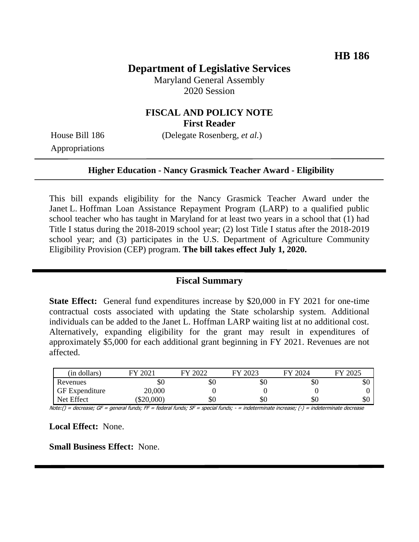# **Department of Legislative Services**

Maryland General Assembly 2020 Session

# **FISCAL AND POLICY NOTE First Reader**

Appropriations

House Bill 186 (Delegate Rosenberg, *et al.*)

#### **Higher Education - Nancy Grasmick Teacher Award - Eligibility**

This bill expands eligibility for the Nancy Grasmick Teacher Award under the Janet L. Hoffman Loan Assistance Repayment Program (LARP) to a qualified public school teacher who has taught in Maryland for at least two years in a school that (1) had Title I status during the 2018-2019 school year; (2) lost Title I status after the 2018-2019 school year; and (3) participates in the U.S. Department of Agriculture Community Eligibility Provision (CEP) program. **The bill takes effect July 1, 2020.**

### **Fiscal Summary**

**State Effect:** General fund expenditures increase by \$20,000 in FY 2021 for one-time contractual costs associated with updating the State scholarship system. Additional individuals can be added to the Janet L. Hoffman LARP waiting list at no additional cost. Alternatively, expanding eligibility for the grant may result in expenditures of approximately \$5,000 for each additional grant beginning in FY 2021. Revenues are not affected.

| (in dollars)          | $202^{\circ}$ | 2022 | 2023<br>FV | FY 2024 | FY 2025 |
|-----------------------|---------------|------|------------|---------|---------|
| Revenues              | УU            | \$0  | \$0        | Y0      | DU.     |
| <b>GF</b> Expenditure | 20,000        |      |            |         |         |
| Net Effect            | \$20,000      | \$0  | \$0        | Y0      | \$0     |

Note:() = decrease; GF = general funds; FF = federal funds; SF = special funds; - = indeterminate increase; (-) = indeterminate decrease

**Local Effect:** None.

**Small Business Effect:** None.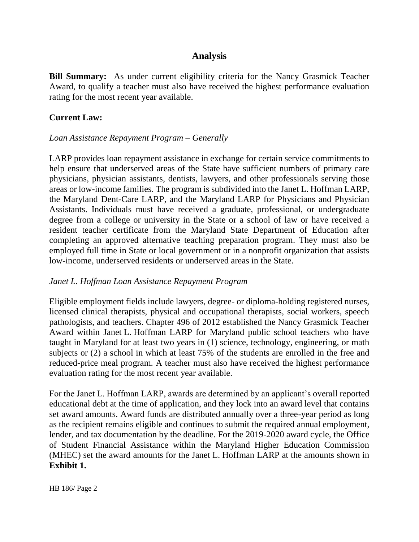# **Analysis**

**Bill Summary:** As under current eligibility criteria for the Nancy Grasmick Teacher Award, to qualify a teacher must also have received the highest performance evaluation rating for the most recent year available.

### **Current Law:**

### *Loan Assistance Repayment Program – Generally*

LARP provides loan repayment assistance in exchange for certain service commitments to help ensure that underserved areas of the State have sufficient numbers of primary care physicians, physician assistants, dentists, lawyers, and other professionals serving those areas or low-income families. The program is subdivided into the Janet L. Hoffman LARP, the Maryland Dent-Care LARP, and the Maryland LARP for Physicians and Physician Assistants. Individuals must have received a graduate, professional, or undergraduate degree from a college or university in the State or a school of law or have received a resident teacher certificate from the Maryland State Department of Education after completing an approved alternative teaching preparation program. They must also be employed full time in State or local government or in a nonprofit organization that assists low-income, underserved residents or underserved areas in the State.

### *Janet L. Hoffman Loan Assistance Repayment Program*

Eligible employment fields include lawyers, degree- or diploma-holding registered nurses, licensed clinical therapists, physical and occupational therapists, social workers, speech pathologists, and teachers. Chapter 496 of 2012 established the Nancy Grasmick Teacher Award within Janet L. Hoffman LARP for Maryland public school teachers who have taught in Maryland for at least two years in (1) science, technology, engineering, or math subjects or (2) a school in which at least 75% of the students are enrolled in the free and reduced-price meal program. A teacher must also have received the highest performance evaluation rating for the most recent year available.

For the Janet L. Hoffman LARP, awards are determined by an applicant's overall reported educational debt at the time of application, and they lock into an award level that contains set award amounts. Award funds are distributed annually over a three-year period as long as the recipient remains eligible and continues to submit the required annual employment, lender, and tax documentation by the deadline. For the 2019-2020 award cycle, the Office of Student Financial Assistance within the Maryland Higher Education Commission (MHEC) set the award amounts for the Janet L. Hoffman LARP at the amounts shown in **Exhibit 1.**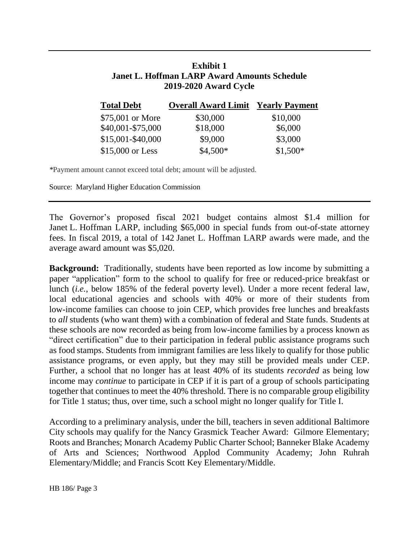# **Exhibit 1 Janet L. Hoffman LARP Award Amounts Schedule 2019-2020 Award Cycle**

| <b>Total Debt</b> | <b>Overall Award Limit Yearly Payment</b> |           |
|-------------------|-------------------------------------------|-----------|
| \$75,001 or More  | \$30,000                                  | \$10,000  |
| \$40,001-\$75,000 | \$18,000                                  | \$6,000   |
| \$15,001-\$40,000 | \$9,000                                   | \$3,000   |
| \$15,000 or Less  | $$4,500*$                                 | $$1,500*$ |

*\**Payment amount cannot exceed total debt; amount will be adjusted.

Source: Maryland Higher Education Commission

The Governor's proposed fiscal 2021 budget contains almost \$1.4 million for Janet L. Hoffman LARP, including \$65,000 in special funds from out-of-state attorney fees. In fiscal 2019, a total of 142 Janet L. Hoffman LARP awards were made, and the average award amount was \$5,020.

**Background:** Traditionally, students have been reported as low income by submitting a paper "application" form to the school to qualify for free or reduced-price breakfast or lunch (*i.e.*, below 185% of the federal poverty level). Under a more recent federal law, local educational agencies and schools with 40% or more of their students from low-income families can choose to join CEP, which provides free lunches and breakfasts to *all* students (who want them) with a combination of federal and State funds. Students at these schools are now recorded as being from low-income families by a process known as "direct certification" due to their participation in federal public assistance programs such as food stamps. Students from immigrant families are less likely to qualify for those public assistance programs, or even apply, but they may still be provided meals under CEP. Further, a school that no longer has at least 40% of its students *recorded* as being low income may *continue* to participate in CEP if it is part of a group of schools participating together that continues to meet the 40% threshold. There is no comparable group eligibility for Title 1 status; thus, over time, such a school might no longer qualify for Title I.

According to a preliminary analysis, under the bill, teachers in seven additional Baltimore City schools may qualify for the Nancy Grasmick Teacher Award: Gilmore Elementary; Roots and Branches; Monarch Academy Public Charter School; Banneker Blake Academy of Arts and Sciences; Northwood Applod Community Academy; John Ruhrah Elementary/Middle; and Francis Scott Key Elementary/Middle.